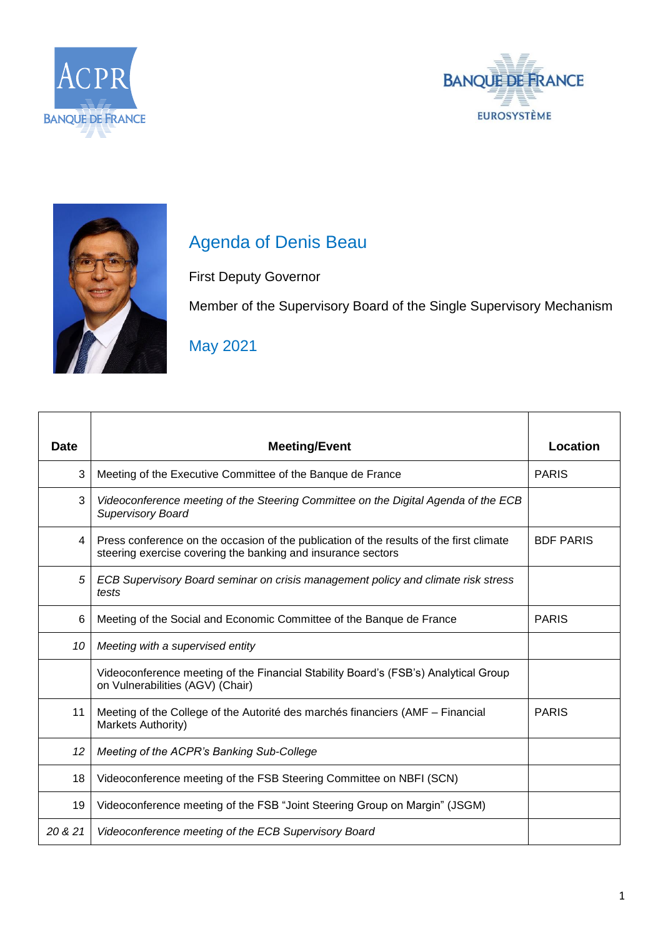





## Agenda of Denis Beau

First Deputy Governor

Member of the Supervisory Board of the Single Supervisory Mechanism

May 2021

| <b>Date</b> | <b>Meeting/Event</b>                                                                                                                                    | Location         |
|-------------|---------------------------------------------------------------------------------------------------------------------------------------------------------|------------------|
| 3           | Meeting of the Executive Committee of the Banque de France                                                                                              | <b>PARIS</b>     |
| 3           | Videoconference meeting of the Steering Committee on the Digital Agenda of the ECB<br><b>Supervisory Board</b>                                          |                  |
| 4           | Press conference on the occasion of the publication of the results of the first climate<br>steering exercise covering the banking and insurance sectors | <b>BDF PARIS</b> |
| 5           | ECB Supervisory Board seminar on crisis management policy and climate risk stress<br>tests                                                              |                  |
| 6           | Meeting of the Social and Economic Committee of the Banque de France                                                                                    | <b>PARIS</b>     |
| 10          | Meeting with a supervised entity                                                                                                                        |                  |
|             | Videoconference meeting of the Financial Stability Board's (FSB's) Analytical Group<br>on Vulnerabilities (AGV) (Chair)                                 |                  |
| 11          | Meeting of the College of the Autorité des marchés financiers (AMF – Financial<br>Markets Authority)                                                    | <b>PARIS</b>     |
| 12          | Meeting of the ACPR's Banking Sub-College                                                                                                               |                  |
| 18          | Videoconference meeting of the FSB Steering Committee on NBFI (SCN)                                                                                     |                  |
| 19          | Videoconference meeting of the FSB "Joint Steering Group on Margin" (JSGM)                                                                              |                  |
| 20 & 21     | Videoconference meeting of the ECB Supervisory Board                                                                                                    |                  |